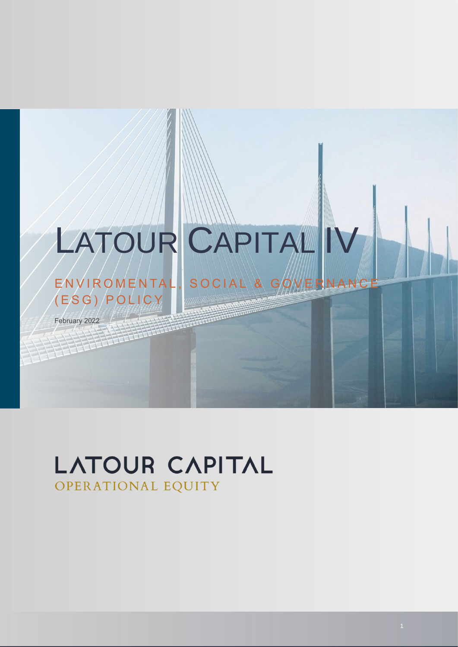# LATOUR CAPITAL IV

### ENVIROMENTAL, SOCIAL & GOVERNANC  $(ESG)/POLICY$

February 2022

## LATOUR CAPITAL OPERATIONAL EQUITY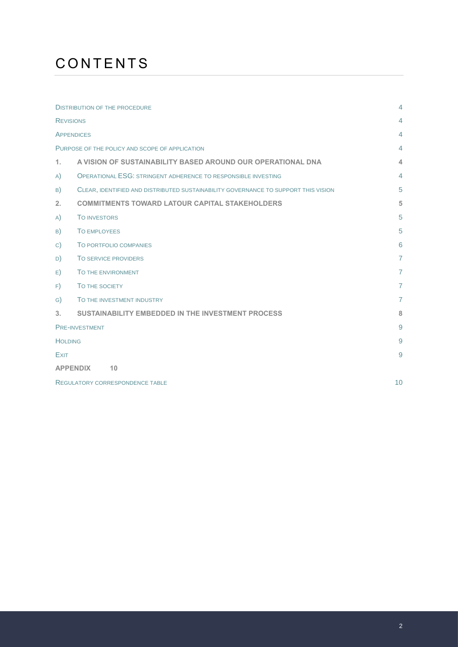## **CONTENTS**

| <b>DISTRIBUTION OF THE PROCEDURE</b>           |                                                                                    | $\overline{4}$ |
|------------------------------------------------|------------------------------------------------------------------------------------|----------------|
| <b>REVISIONS</b>                               |                                                                                    | $\overline{4}$ |
| <b>APPENDICES</b>                              |                                                                                    | $\overline{4}$ |
| PURPOSE OF THE POLICY AND SCOPE OF APPLICATION |                                                                                    | 4              |
| 1.                                             | A VISION OF SUSTAINABILITY BASED AROUND OUR OPERATIONAL DNA                        | $\overline{4}$ |
| A)                                             | OPERATIONAL ESG: STRINGENT ADHERENCE TO RESPONSIBLE INVESTING                      | 4              |
| B)                                             | CLEAR, IDENTIFIED AND DISTRIBUTED SUSTAINABILITY GOVERNANCE TO SUPPORT THIS VISION | 5              |
| 2.                                             | <b>COMMITMENTS TOWARD LATOUR CAPITAL STAKEHOLDERS</b>                              | 5              |
| A)                                             | TO INVESTORS                                                                       | 5              |
| B)                                             | <b>TO EMPLOYEES</b>                                                                | 5              |
| C)                                             | TO PORTFOLIO COMPANIES                                                             | 6              |
| D)                                             | TO SERVICE PROVIDERS                                                               | $\overline{7}$ |
| E)                                             | TO THE ENVIRONMENT                                                                 | $\overline{7}$ |
| F)                                             | TO THE SOCIETY                                                                     | $\overline{7}$ |
| G)                                             | TO THE INVESTMENT INDUSTRY                                                         | $\overline{7}$ |
| 3.                                             | <b>SUSTAINABILITY EMBEDDED IN THE INVESTMENT PROCESS</b>                           | 8              |
| <b>PRE-INVESTMENT</b>                          |                                                                                    | 9              |
| <b>HOLDING</b>                                 |                                                                                    | 9              |
| <b>EXIT</b>                                    |                                                                                    | 9              |
|                                                | <b>APPENDIX</b><br>10                                                              |                |
| <b>REGULATORY CORRESPONDENCE TABLE</b>         |                                                                                    |                |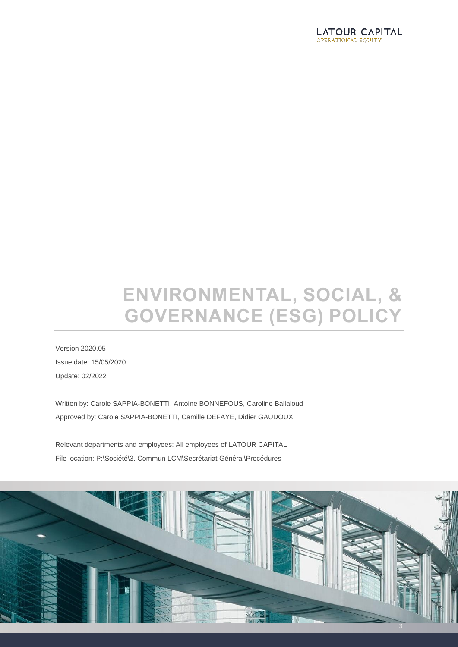

# **ENVIRONMENTAL, SOCIAL, & GOVERNANCE (ESG) POLICY**

Version 2020.05 Issue date: 15/05/2020 Update: 02/2022

Written by: Carole SAPPIA-BONETTI, Antoine BONNEFOUS, Caroline Ballaloud Approved by: Carole SAPPIA-BONETTI, Camille DEFAYE, Didier GAUDOUX

Relevant departments and employees: All employees of LATOUR CAPITAL File location: P:\Société\3. Commun LCM\Secrétariat Général\Procédures

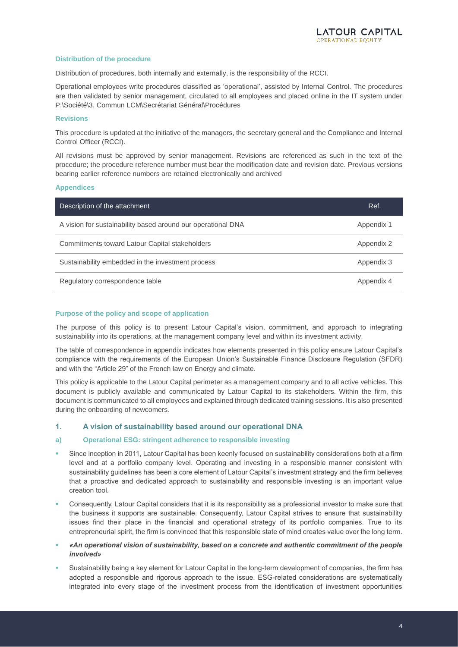#### <span id="page-3-0"></span>**Distribution of the procedure**

Distribution of procedures, both internally and externally, is the responsibility of the RCCI.

Operational employees write procedures classified as 'operational', assisted by Internal Control. The procedures are then validated by senior management, circulated to all employees and placed online in the IT system under P:\Société\3. Commun LCM\Secrétariat Général\Procédures

#### <span id="page-3-1"></span>**Revisions**

This procedure is updated at the initiative of the managers, the secretary general and the Compliance and Internal Control Officer (RCCI).

All revisions must be approved by senior management. Revisions are referenced as such in the text of the procedure; the procedure reference number must bear the modification date and revision date. Previous versions bearing earlier reference numbers are retained electronically and archived

#### <span id="page-3-2"></span>**Appendices**

| Description of the attachment                                | Ref.       |
|--------------------------------------------------------------|------------|
| A vision for sustainability based around our operational DNA | Appendix 1 |
| Commitments toward Latour Capital stakeholders               | Appendix 2 |
| Sustainability embedded in the investment process            | Appendix 3 |
| Regulatory correspondence table                              | Appendix 4 |

#### <span id="page-3-3"></span>**Purpose of the policy and scope of application**

The purpose of this policy is to present Latour Capital's vision, commitment, and approach to integrating sustainability into its operations, at the management company level and within its investment activity.

The table of correspondence in appendix indicates how elements presented in this policy ensure Latour Capital's compliance with the requirements of the European Union's Sustainable Finance Disclosure Regulation (SFDR) and with the "Article 29" of the French law on Energy and climate.

This policy is applicable to the Latour Capital perimeter as a management company and to all active vehicles. This document is publicly available and communicated by Latour Capital to its stakeholders. Within the firm, this document is communicated to all employees and explained through dedicated training sessions. It is also presented during the onboarding of newcomers.

#### <span id="page-3-4"></span>**1. A vision of sustainability based around our operational DNA**

#### <span id="page-3-5"></span>**a) Operational ESG: stringent adherence to responsible investing**

- Since inception in 2011, Latour Capital has been keenly focused on sustainability considerations both at a firm level and at a portfolio company level. Operating and investing in a responsible manner consistent with sustainability guidelines has been a core element of Latour Capital's investment strategy and the firm believes that a proactive and dedicated approach to sustainability and responsible investing is an important value creation tool.
- Consequently, Latour Capital considers that it is its responsibility as a professional investor to make sure that the business it supports are sustainable. Consequently, Latour Capital strives to ensure that sustainability issues find their place in the financial and operational strategy of its portfolio companies. True to its entrepreneurial spirit, the firm is convinced that this responsible state of mind creates value over the long term.
- *«An operational vision of sustainability, based on a concrete and authentic commitment of the people involved»*
- Sustainability being a key element for Latour Capital in the long-term development of companies, the firm has adopted a responsible and rigorous approach to the issue. ESG-related considerations are systematically integrated into every stage of the investment process from the identification of investment opportunities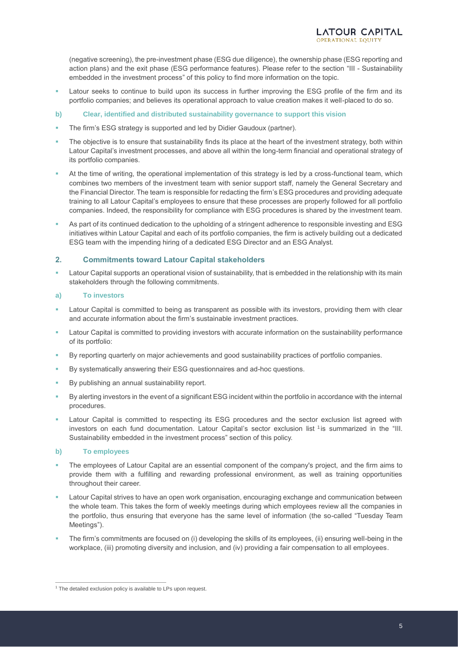(negative screening), the pre-investment phase (ESG due diligence), the ownership phase (ESG reporting and action plans) and the exit phase (ESG performance features). Please refer to the section "III - Sustainability embedded in the investment process" of this policy to find more information on the topic.

**ATOUR CAPITAL** 

OPER ATIONAL EQUIT

- Latour seeks to continue to build upon its success in further improving the ESG profile of the firm and its portfolio companies; and believes its operational approach to value creation makes it well-placed to do so.
- <span id="page-4-0"></span>**b) Clear, identified and distributed sustainability governance to support this vision**
- The firm's ESG strategy is supported and led by Didier Gaudoux (partner).
- The objective is to ensure that sustainability finds its place at the heart of the investment strategy, both within Latour Capital's investment processes, and above all within the long-term financial and operational strategy of its portfolio companies.
- At the time of writing, the operational implementation of this strategy is led by a cross-functional team, which combines two members of the investment team with senior support staff, namely the General Secretary and the Financial Director. The team is responsible for redacting the firm's ESG procedures and providing adequate training to all Latour Capital's employees to ensure that these processes are properly followed for all portfolio companies. Indeed, the responsibility for compliance with ESG procedures is shared by the investment team.
- As part of its continued dedication to the upholding of a stringent adherence to responsible investing and ESG initiatives within Latour Capital and each of its portfolio companies, the firm is actively building out a dedicated ESG team with the impending hiring of a dedicated ESG Director and an ESG Analyst.

#### <span id="page-4-1"></span>**2. Commitments toward Latour Capital stakeholders**

**Latour Capital supports an operational vision of sustainability, that is embedded in the relationship with its main** stakeholders through the following commitments.

#### <span id="page-4-2"></span>**a) To investors**

- Latour Capital is committed to being as transparent as possible with its investors, providing them with clear and accurate information about the firm's sustainable investment practices.
- Latour Capital is committed to providing investors with accurate information on the sustainability performance of its portfolio:
- By reporting quarterly on major achievements and good sustainability practices of portfolio companies.
- By systematically answering their ESG questionnaires and ad-hoc questions.
- By publishing an annual sustainability report.
- By alerting investors in the event of a significant ESG incident within the portfolio in accordance with the internal procedures.
- Latour Capital is committed to respecting its ESG procedures and the sector exclusion list agreed with investors on each fund documentation. Latour Capital's sector exclusion list <sup>1</sup> is summarized in the "III. Sustainability embedded in the investment process" section of this policy.

#### <span id="page-4-3"></span>**b) To employees**

- The employees of Latour Capital are an essential component of the company's project, and the firm aims to provide them with a fulfilling and rewarding professional environment, as well as training opportunities throughout their career.
- Latour Capital strives to have an open work organisation, encouraging exchange and communication between the whole team. This takes the form of weekly meetings during which employees review all the companies in the portfolio, thus ensuring that everyone has the same level of information (the so-called "Tuesday Team Meetings").
- The firm's commitments are focused on (i) developing the skills of its employees, (ii) ensuring well-being in the workplace, (iii) promoting diversity and inclusion, and (iv) providing a fair compensation to all employees.

 $\overline{a}$ <sup>1</sup> The detailed exclusion policy is available to LPs upon request.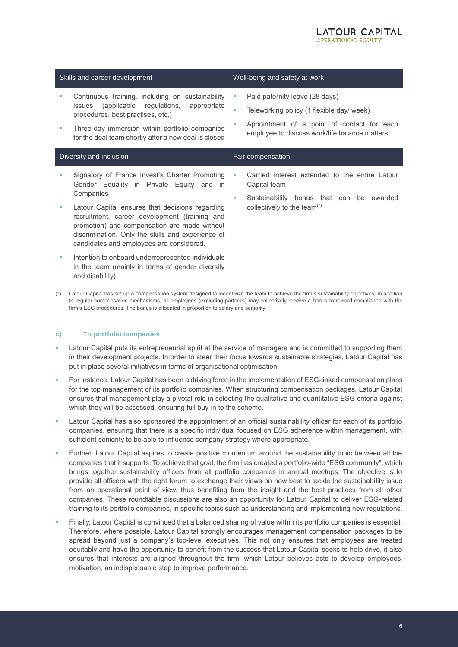#### **LATOUR CAPITAL** OPER ATIONAL EQUITY

|   | regulations,<br>(applicable<br>appropriate<br><b>issues</b><br>procedures, best practises, etc.)<br>Three-day immersion within portfolio companies<br>for the deal team shortly after a new deal is closed | Teleworking policy (1 flexible day/ week)<br>Appointment of a point of contact for each<br>ш<br>employee to discuss work/life balance matters        |  |
|---|------------------------------------------------------------------------------------------------------------------------------------------------------------------------------------------------------------|------------------------------------------------------------------------------------------------------------------------------------------------------|--|
|   | Diversity and inclusion                                                                                                                                                                                    | Fair compensation                                                                                                                                    |  |
|   | Signatory of France Invest's Charter Promoting<br>Gender Equality in Private Equity and in<br>Companies<br>Latour Capital ensures that decisions regarding                                                 | Carried interest extended to the entire Latour<br>Capital team<br>Sustainability bonus that can be<br>awarded<br>ш<br>collectively to the team $(*)$ |  |
|   | recruitment, career development (training and<br>promotion) and compensation are made without<br>discrimination. Only the skills and experience of<br>candidates and employees are considered.             |                                                                                                                                                      |  |
| ш | Intention to onboard underrepresented individuals<br>in the team (mainly in terms of gender diversity<br>and disability)                                                                                   |                                                                                                                                                      |  |

(\*) Latour Capital has set up a compensation system designed to incentiviee the team to achieve the firm's sustainability objectives. In addition to regular compensation mechanisms, all employees (excluding partners) may collectively receive a bonus to reward compliance with the firm's ESG procedures. The bonus is allocated in proportion to salary and seniority

#### <span id="page-5-0"></span>**c) To portfolio companies**

- Latour Capital puts its entrepreneurial spirit at the service of managers and is committed to supporting them in their development projects. In order to steer their focus towards sustainable strategies, Latour Capital has put in place several initiatives in terms of organisational optimisation.
- For instance, Latour Capital has been a driving force in the implementation of ESG-linked compensation plans for the top management of its portfolio companies. When structuring compensation packages, Latour Capital ensures that management play a pivotal role in selecting the qualitative and quantitative ESG criteria against which they will be assessed, ensuring full buy-in to the scheme.
- Latour Capital has also sponsored the appointment of an official sustainability officer for each of its portfolio companies, ensuring that there is a specific individual focused on ESG adherence within management, with sufficient seniority to be able to influence company strategy where appropriate.
- Further, Latour Capital aspires to create positive momentum around the sustainability topic between all the companies that it supports. To achieve that goal, the firm has created a portfolio-wide "ESG community", which brings together sustainability officers from all portfolio companies in annual meetups. The objective is to provide all officers with the right forum to exchange their views on how best to tackle the sustainability issue from an operational point of view, thus benefiting from the insight and the best practices from all other companies. These roundtable discussions are also an opportunity for Latour Capital to deliver ESG-related training to its portfolio companies, in specific topics such as understanding and implementing new regulations.
- Finally, Latour Capital is convinced that a balanced sharing of value within its portfolio companies is essential. Therefore, where possible, Latour Capital strongly encourages management compensation packages to be spread beyond just a company's top-level executives. This not only ensures that employees are treated equitably and have the opportunity to benefit from the success that Latour Capital seeks to help drive, it also ensures that interests are aligned throughout the firm, which Latour believes acts to develop employees' motivation, an indispensable step to improve performance.

#### Skills and career development Well-being and safety at work

Continuous training, including on sustainability . Paid paternity leave (28 days)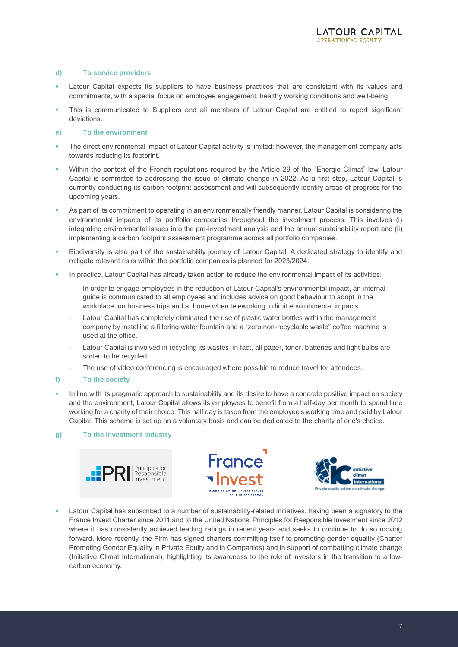#### <span id="page-6-0"></span>**d) To service providers**

- Latour Capital expects its suppliers to have business practices that are consistent with its values and commitments, with a special focus on employee engagement, healthy working conditions and well-being.
- This is communicated to Suppliers and all members of Latour Capital are entitled to report significant deviations.
- <span id="page-6-1"></span>**e) To the environment**
- The direct environmental impact of Latour Capital activity is limited; however, the management company acts towards reducing its footprint.
- Within the context of the French regulations required by the Article 29 of the "Energie Climat" law, Latour Capital is committed to addressing the issue of climate change in 2022. As a first step, Latour Capital is currently conducting its carbon footprint assessment and will subsequently identify areas of progress for the upcoming years.
- As part of its commitment to operating in an environmentally friendly manner, Latour Capital is considering the environmental impacts of its portfolio companies throughout the investment process. This involves (i) integrating environmental issues into the pre-investment analysis and the annual sustainability report and (ii) implementing a carbon footprint assessment programme across all portfolio companies.
- Biodiversity is also part of the sustainability journey of Latour Capital. A dedicated strategy to identify and mitigate relevant risks within the portfolio companies is planned for 2023/2024.
- In practice, Latour Capital has already taken action to reduce the environmental impact of its activities:
	- In order to engage employees in the reduction of Latour Capital's environmental impact, an internal guide is communicated to all employees and includes advice on good behaviour to adopt in the workplace, on business trips and at home when teleworking to limit environmental impacts.
	- Latour Capital has completely eliminated the use of plastic water bottles within the management company by installing a filtering water fountain and a "eero non-recyclable waste" coffee machine is used at the office.
	- Latour Capital is involved in recycling its wastes: in fact, all paper, toner, batteries and light bulbs are sorted to be recycled.
	- The use of video conferencing is encouraged where possible to reduce travel for attendees.

#### <span id="page-6-2"></span>**f) To the society**

 In line with its pragmatic approach to sustainability and its desire to have a concrete positive impact on society and the environment, Latour Capital allows its employees to benefit from a half-day per month to spend time working for a charity of their choice. This half day is taken from the employee's working time and paid by Latour Capital. This scheme is set up on a voluntary basis and can be dedicated to the charity of one's choice.

#### <span id="page-6-3"></span>**g) To the investment industry**







 Latour Capital has subscribed to a number of sustainability-related initiatives, having been a signatory to the France Invest Charter since 2011 and to the United Nations' Principles for Responsible Investment since 2012 where it has consistently achieved leading ratings in recent years and seeks to continue to do so moving forward. More recently, the Firm has signed charters committing itself to promoting gender equality (Charter Promoting Gender Equality in Private Equity and in Companies) and in support of combatting climate change (Initiative Climat International), highlighting its awareness to the role of investors in the transition to a lowcarbon economy.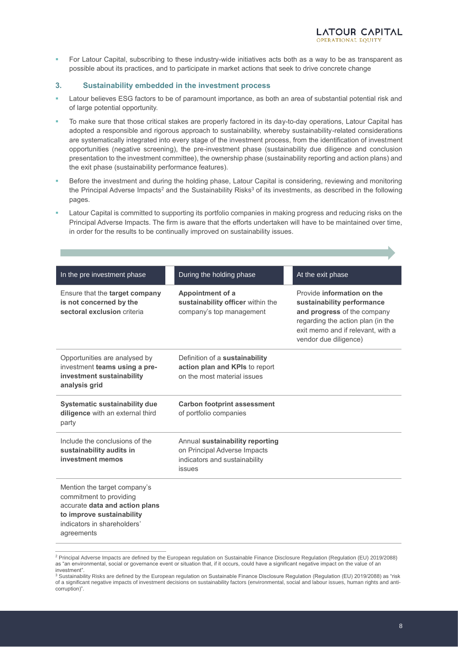For Latour Capital, subscribing to these industry-wide initiatives acts both as a way to be as transparent as possible about its practices, and to participate in market actions that seek to drive concrete change

#### <span id="page-7-0"></span>**3. Sustainability embedded in the investment process**

- Latour believes ESG factors to be of paramount importance, as both an area of substantial potential risk and of large potential opportunity.
- To make sure that those critical stakes are properly factored in its day-to-day operations, Latour Capital has adopted a responsible and rigorous approach to sustainability, whereby sustainability-related considerations are systematically integrated into every stage of the investment process, from the identification of investment opportunities (negative screening), the pre-investment phase (sustainability due diligence and conclusion presentation to the investment committee), the ownership phase (sustainability reporting and action plans) and the exit phase (sustainability performance features).
- Before the investment and during the holding phase, Latour Capital is considering, reviewing and monitoring the Principal Adverse Impacts<sup>2</sup> and the Sustainability Risks<sup>3</sup> of its investments, as described in the following pages.
- Latour Capital is committed to supporting its portfolio companies in making progress and reducing risks on the Principal Adverse Impacts. The firm is aware that the efforts undertaken will have to be maintained over time, in order for the results to be continually improved on sustainability issues.

| In the pre investment phase                                                                                                                                         | During the holding phase                                                                                   | At the exit phase                                                                                                                                                                          |
|---------------------------------------------------------------------------------------------------------------------------------------------------------------------|------------------------------------------------------------------------------------------------------------|--------------------------------------------------------------------------------------------------------------------------------------------------------------------------------------------|
| Ensure that the target company<br>is not concerned by the<br>sectoral exclusion criteria                                                                            | Appointment of a<br>sustainability officer within the<br>company's top management                          | Provide information on the<br>sustainability performance<br>and progress of the company<br>regarding the action plan (in the<br>exit memo and if relevant, with a<br>vendor due diligence) |
| Opportunities are analysed by<br>investment teams using a pre-<br>investment sustainability<br>analysis grid                                                        | Definition of a sustainability<br>action plan and KPIs to report<br>on the most material issues            |                                                                                                                                                                                            |
| <b>Systematic sustainability due</b><br>diligence with an external third<br>party                                                                                   | <b>Carbon footprint assessment</b><br>of portfolio companies                                               |                                                                                                                                                                                            |
| Include the conclusions of the<br>sustainability audits in<br>investment memos                                                                                      | Annual sustainability reporting<br>on Principal Adverse Impacts<br>indicators and sustainability<br>issues |                                                                                                                                                                                            |
| Mention the target company's<br>commitment to providing<br>accurate data and action plans<br>to improve sustainability<br>indicators in shareholders'<br>agreements |                                                                                                            |                                                                                                                                                                                            |

<sup>&</sup>lt;sup>2</sup> Principal Adverse Impacts are defined by the European regulation on Sustainable Finance Disclosure Regulation (Regulation (EU) 2019/2088) as "an environmental, social or governance event or situation that, if it occurs, could have a significant negative impact on the value of an investment".

 $\overline{a}$ 

<sup>&</sup>lt;sup>3</sup> Sustainability Risks are defined by the European regulation on Sustainable Finance Disclosure Regulation (Regulation (EU) 2019/2088) as "risk of a significant negative impacts of investment decisions on sustainability factors (environmental, social and labour issues, human rights and anticorruption)".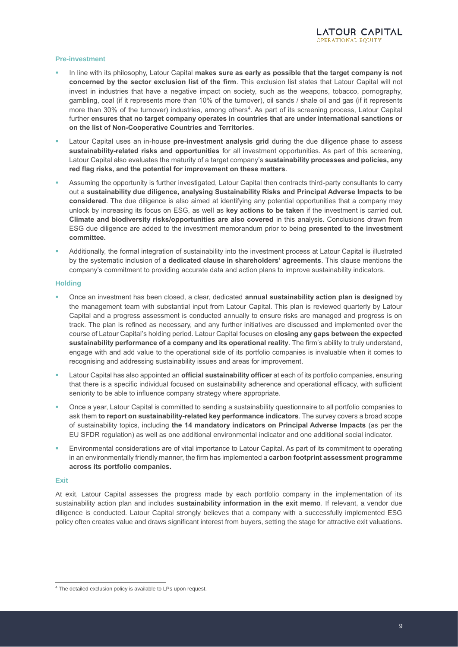#### <span id="page-8-0"></span>**Pre-investment**

- In line with its philosophy, Latour Capital **makes sure as early as possible that the target company is not concerned by the sector exclusion list of the firm**. This exclusion list states that Latour Capital will not invest in industries that have a negative impact on society, such as the weapons, tobacco, pornography, gambling, coal (if it represents more than 10% of the turnover), oil sands / shale oil and gas (if it represents more than 30% of the turnover) industries, among others<sup>4</sup>. As part of its screening process, Latour Capital further **ensures that no target company operates in countries that are under international sanctions or on the list of Non-Cooperative Countries and Territories**.
- Latour Capital uses an in-house **pre-investment analysis grid** during the due diligence phase to assess **sustainability-related risks and opportunities** for all investment opportunities. As part of this screening, Latour Capital also evaluates the maturity of a target company's **sustainability processes and policies, any red flag risks, and the potential for improvement on these matters**.
- Assuming the opportunity is further investigated, Latour Capital then contracts third-party consultants to carry out a **sustainability due diligence, analysing Sustainability Risks and Principal Adverse Impacts to be considered**. The due diligence is also aimed at identifying any potential opportunities that a company may unlock by increasing its focus on ESG, as well as **key actions to be taken** if the investment is carried out. **Climate and biodiversity risks/opportunities are also covered** in this analysis. Conclusions drawn from ESG due diligence are added to the investment memorandum prior to being **presented to the investment committee.**
- Additionally, the formal integration of sustainability into the investment process at Latour Capital is illustrated by the systematic inclusion of **a dedicated clause in shareholders' agreements**. This clause mentions the company's commitment to providing accurate data and action plans to improve sustainability indicators.

#### <span id="page-8-1"></span>**Holding**

- Once an investment has been closed, a clear, dedicated **annual sustainability action plan is designed** by the management team with substantial input from Latour Capital. This plan is reviewed quarterly by Latour Capital and a progress assessment is conducted annually to ensure risks are managed and progress is on track. The plan is refined as necessary, and any further initiatives are discussed and implemented over the course of Latour Capital's holding period. Latour Capital focuses on **closing any gaps between the expected sustainability performance of a company and its operational reality**. The firm's ability to truly understand, engage with and add value to the operational side of its portfolio companies is invaluable when it comes to recognising and addressing sustainability issues and areas for improvement.
- Latour Capital has also appointed an **official sustainability officer** at each of its portfolio companies, ensuring that there is a specific individual focused on sustainability adherence and operational efficacy, with sufficient seniority to be able to influence company strategy where appropriate.
- Once a year, Latour Capital is committed to sending a sustainability questionnaire to all portfolio companies to ask them **to report on sustainability-related key performance indicators**. The survey covers a broad scope of sustainability topics, including **the 14 mandatory indicators on Principal Adverse Impacts** (as per the EU SFDR regulation) as well as one additional environmental indicator and one additional social indicator.
- Environmental considerations are of vital importance to Latour Capital. As part of its commitment to operating in an environmentally friendly manner, the firm has implemented a **carbon footprint assessment programme across its portfolio companies.**

#### <span id="page-8-2"></span>**Exit**

At exit, Latour Capital assesses the progress made by each portfolio company in the implementation of its sustainability action plan and includes **sustainability information in the exit memo**. If relevant, a vendor due diligence is conducted. Latour Capital strongly believes that a company with a successfully implemented ESG policy often creates value and draws significant interest from buyers, setting the stage for attractive exit valuations.

 $\overline{a}$ <sup>4</sup> The detailed exclusion policy is available to LPs upon request.